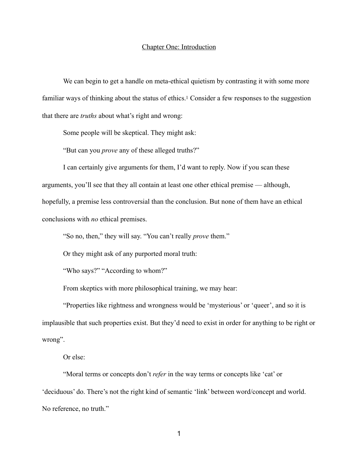## <span id="page-0-0"></span>Chapter One: Introduction

We can begin to get a handle on meta-ethical quietism by contrasting it with some more familiar ways of thinking about the status of ethics[.1](#page-22-0) Consider a few responses to the suggestion that there are *truths* about what's right and wrong:

Some people will be skeptical. They might ask:

"But can you *prove* any of these alleged truths?"

 I can certainly give arguments for them, I'd want to reply. Now if you scan these arguments, you'll see that they all contain at least one other ethical premise — although, hopefully, a premise less controversial than the conclusion. But none of them have an ethical conclusions with *no* ethical premises.

"So no, then," they will say. "You can't really *prove* them."

Or they might ask of any purported moral truth:

"Who says?" "According to whom?"

From skeptics with more philosophical training, we may hear:

 "Properties like rightness and wrongness would be 'mysterious' or 'queer', and so it is implausible that such properties exist. But they'd need to exist in order for anything to be right or wrong".

Or else:

 "Moral terms or concepts don't *refer* in the way terms or concepts like 'cat' or 'deciduous' do. There's not the right kind of semantic 'link' between word/concept and world. No reference, no truth."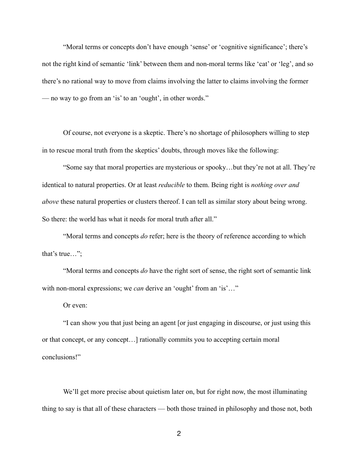"Moral terms or concepts don't have enough 'sense' or 'cognitive significance'; there's not the right kind of semantic 'link' between them and non-moral terms like 'cat' or 'leg', and so there's no rational way to move from claims involving the latter to claims involving the former — no way to go from an 'is' to an 'ought', in other words."

 Of course, not everyone is a skeptic. There's no shortage of philosophers willing to step in to rescue moral truth from the skeptics' doubts, through moves like the following:

 "Some say that moral properties are mysterious or spooky…but they're not at all. They're identical to natural properties. Or at least *reducible* to them. Being right is *nothing over and above* these natural properties or clusters thereof. I can tell as similar story about being wrong. So there: the world has what it needs for moral truth after all."

 "Moral terms and concepts *do* refer; here is the theory of reference according to which that's true…";

 "Moral terms and concepts *do* have the right sort of sense, the right sort of semantic link with non-moral expressions; we *can* derive an 'ought' from an 'is'..."

Or even:

 "I can show you that just being an agent [or just engaging in discourse, or just using this or that concept, or any concept…] rationally commits you to accepting certain moral conclusions!"

We'll get more precise about quietism later on, but for right now, the most illuminating thing to say is that all of these characters — both those trained in philosophy and those not, both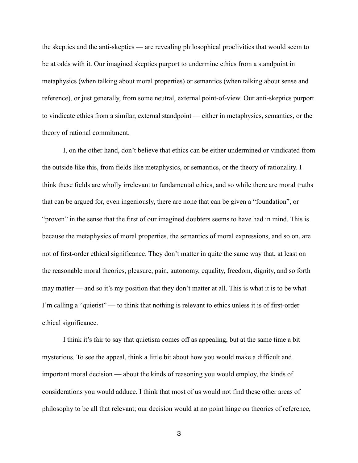the skeptics and the anti-skeptics — are revealing philosophical proclivities that would seem to be at odds with it. Our imagined skeptics purport to undermine ethics from a standpoint in metaphysics (when talking about moral properties) or semantics (when talking about sense and reference), or just generally, from some neutral, external point-of-view. Our anti-skeptics purport to vindicate ethics from a similar, external standpoint — either in metaphysics, semantics, or the theory of rational commitment.

 I, on the other hand, don't believe that ethics can be either undermined or vindicated from the outside like this, from fields like metaphysics, or semantics, or the theory of rationality. I think these fields are wholly irrelevant to fundamental ethics, and so while there are moral truths that can be argued for, even ingeniously, there are none that can be given a "foundation", or "proven" in the sense that the first of our imagined doubters seems to have had in mind. This is because the metaphysics of moral properties, the semantics of moral expressions, and so on, are not of first-order ethical significance. They don't matter in quite the same way that, at least on the reasonable moral theories, pleasure, pain, autonomy, equality, freedom, dignity, and so forth may matter — and so it's my position that they don't matter at all. This is what it is to be what I'm calling a "quietist" — to think that nothing is relevant to ethics unless it is of first-order ethical significance.

I think it's fair to say that quietism comes off as appealing, but at the same time a bit mysterious. To see the appeal, think a little bit about how you would make a difficult and important moral decision — about the kinds of reasoning you would employ, the kinds of considerations you would adduce. I think that most of us would not find these other areas of philosophy to be all that relevant; our decision would at no point hinge on theories of reference,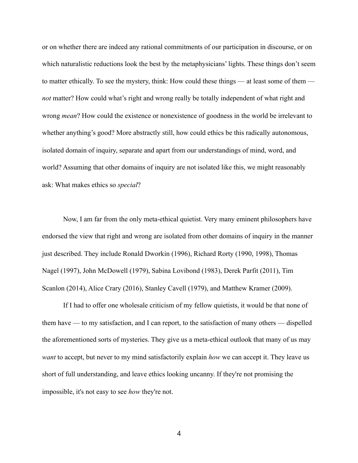or on whether there are indeed any rational commitments of our participation in discourse, or on which naturalistic reductions look the best by the metaphysicians' lights. These things don't seem to matter ethically. To see the mystery, think: How could these things — at least some of them *not* matter? How could what's right and wrong really be totally independent of what right and wrong *mean*? How could the existence or nonexistence of goodness in the world be irrelevant to whether anything's good? More abstractly still, how could ethics be this radically autonomous, isolated domain of inquiry, separate and apart from our understandings of mind, word, and world? Assuming that other domains of inquiry are not isolated like this, we might reasonably ask: What makes ethics so *special*?

 Now, I am far from the only meta-ethical quietist. Very many eminent philosophers have endorsed the view that right and wrong are isolated from other domains of inquiry in the manner just described. They include Ronald Dworkin (1996), Richard Rorty (1990, 1998), Thomas Nagel (1997), John McDowell (1979), Sabina Lovibond (1983), Derek Parfit (2011), Tim Scanlon (2014), Alice Crary (2016), Stanley Cavell (1979), and Matthew Kramer (2009).

 If I had to offer one wholesale criticism of my fellow quietists, it would be that none of them have — to my satisfaction, and I can report, to the satisfaction of many others — dispelled the aforementioned sorts of mysteries. They give us a meta-ethical outlook that many of us may *want* to accept, but never to my mind satisfactorily explain *how* we can accept it. They leave us short of full understanding, and leave ethics looking uncanny. If they're not promising the impossible, it's not easy to see *how* they're not.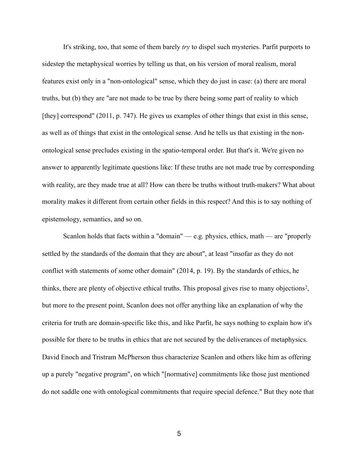It's striking, too, that some of them barely *try* to dispel such mysteries. Parfit purports to sidestep the metaphysical worries by telling us that, on his version of moral realism, moral features exist only in a "non-ontological" sense, which they do just in case: (a) there are moral truths, but (b) they are "are not made to be true by there being some part of reality to which [they] correspond" (2011, p. 747). He gives us examples of other things that exist in this sense, as well as of things that exist in the ontological sense. And he tells us that existing in the nonontological sense precludes existing in the spatio-temporal order. But that's it. We're given no answer to apparently legitimate questions like: If these truths are not made true by corresponding with reality, are they made true at all? How can there be truths without truth-makers? What about morality makes it different from certain other fields in this respect? And this is to say nothing of epistemology, semantics, and so on.

<span id="page-4-0"></span>Scanlon holds that facts within a "domain" — e.g. physics, ethics, math — are "properly settled by the standards of the domain that they are about", at least "insofar as they do not conflict with statements of some other domain" (2014, p. 19). By the standards of ethics, he thinks[,](#page-22-1) there are plenty of objective ethical truths. This proposal gives rise to many objections<sup>[2](#page-22-1)</sup>, but more to the present point, Scanlon does not offer anything like an explanation of why the criteria for truth are domain-specific like this, and like Parfit, he says nothing to explain how it's possible for there to be truths in ethics that are not secured by the deliverances of metaphysics. David Enoch and Tristram McPherson thus characterize Scanlon and others like him as offering up a purely "negative program", on which "[normative] commitments like those just mentioned do not saddle one with ontological commitments that require special defence." But they note that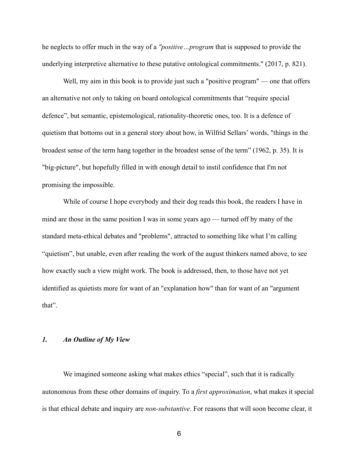he neglects to offer much in the way of a *"positive…program* that is supposed to provide the underlying interpretive alternative to these putative ontological commitments." (2017, p. 821).

Well, my aim in this book is to provide just such a "positive program" — one that offers an alternative not only to taking on board ontological commitments that "require special defence", but semantic, epistemological, rationality-theoretic ones, too. It is a defence of quietism that bottoms out in a general story about how, in Wilfrid Sellars' words, "things in the broadest sense of the term hang together in the broadest sense of the term" (1962, p. 35). It is "big-picture", but hopefully filled in with enough detail to instil confidence that I'm not promising the impossible.

 While of course I hope everybody and their dog reads this book, the readers I have in mind are those in the same position I was in some years ago — turned off by many of the standard meta-ethical debates and "problems", attracted to something like what I'm calling "quietism", but unable, even after reading the work of the august thinkers named above, to see how exactly such a view might work. The book is addressed, then, to those have not yet identified as quietists more for want of an "explanation how" than for want of an "argument that".

## *1. An Outline of My View*

We imagined someone asking what makes ethics "special", such that it is radically autonomous from these other domains of inquiry. To a *first approximation*, what makes it special is that ethical debate and inquiry are *non-substantive.* For reasons that will soon become clear, it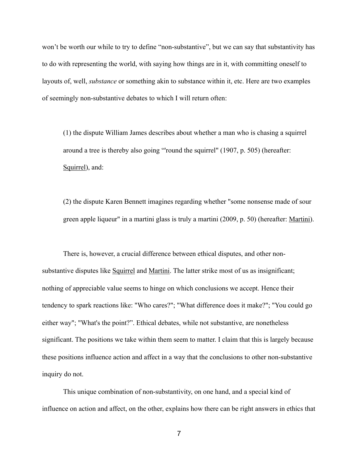won't be worth our while to try to define "non-substantive", but we can say that substantivity has to do with representing the world, with saying how things are in it, with committing oneself to layouts of, well, *substance* or something akin to substance within it, etc. Here are two examples of seemingly non-substantive debates to which I will return often:

 (1) the dispute William James describes about whether a man who is chasing a squirrel around a tree is thereby also going "'round the squirrel" (1907, p. 505) (hereafter: Squirrel), and:

 (2) the dispute Karen Bennett imagines regarding whether "some nonsense made of sour green apple liqueur" in a martini glass is truly a martini (2009, p. 50) (hereafter: Martini).

 There is, however, a crucial difference between ethical disputes, and other nonsubstantive disputes like Squirrel and Martini. The latter strike most of us as insignificant; nothing of appreciable value seems to hinge on which conclusions we accept. Hence their tendency to spark reactions like: "Who cares?"; "What difference does it make?"; "You could go either way"; "What's the point?". Ethical debates, while not substantive, are nonetheless significant. The positions we take within them seem to matter. I claim that this is largely because these positions influence action and affect in a way that the conclusions to other non-substantive inquiry do not.

 This unique combination of non-substantivity, on one hand, and a special kind of influence on action and affect, on the other, explains how there can be right answers in ethics that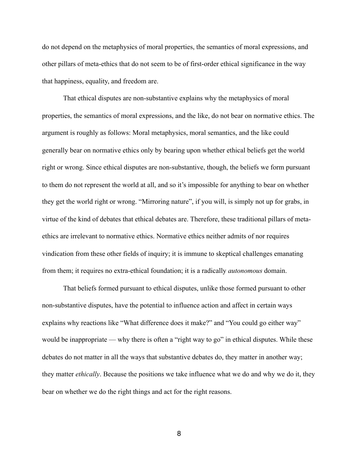do not depend on the metaphysics of moral properties, the semantics of moral expressions, and other pillars of meta-ethics that do not seem to be of first-order ethical significance in the way that happiness, equality, and freedom are.

 That ethical disputes are non-substantive explains why the metaphysics of moral properties, the semantics of moral expressions, and the like, do not bear on normative ethics. The argument is roughly as follows: Moral metaphysics, moral semantics, and the like could generally bear on normative ethics only by bearing upon whether ethical beliefs get the world right or wrong. Since ethical disputes are non-substantive, though, the beliefs we form pursuant to them do not represent the world at all, and so it's impossible for anything to bear on whether they get the world right or wrong. "Mirroring nature", if you will, is simply not up for grabs, in virtue of the kind of debates that ethical debates are. Therefore, these traditional pillars of metaethics are irrelevant to normative ethics. Normative ethics neither admits of nor requires vindication from these other fields of inquiry; it is immune to skeptical challenges emanating from them; it requires no extra-ethical foundation; it is a radically *autonomous* domain.

 That beliefs formed pursuant to ethical disputes, unlike those formed pursuant to other non-substantive disputes, have the potential to influence action and affect in certain ways explains why reactions like "What difference does it make?" and "You could go either way" would be inappropriate — why there is often a "right way to go" in ethical disputes. While these debates do not matter in all the ways that substantive debates do, they matter in another way; they matter *ethically*. Because the positions we take influence what we do and why we do it, they bear on whether we do the right things and act for the right reasons.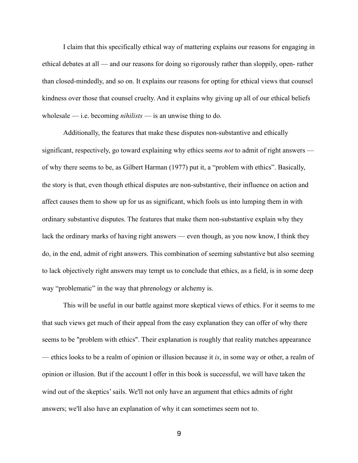I claim that this specifically ethical way of mattering explains our reasons for engaging in ethical debates at all — and our reasons for doing so rigorously rather than sloppily, open- rather than closed-mindedly, and so on. It explains our reasons for opting for ethical views that counsel kindness over those that counsel cruelty. And it explains why giving up all of our ethical beliefs wholesale — i.e. becoming *nihilists* — is an unwise thing to do.

 Additionally, the features that make these disputes non-substantive and ethically significant, respectively, go toward explaining why ethics seems *not* to admit of right answers of why there seems to be, as Gilbert Harman (1977) put it, a "problem with ethics". Basically, the story is that, even though ethical disputes are non-substantive, their influence on action and affect causes them to show up for us as significant, which fools us into lumping them in with ordinary substantive disputes. The features that make them non-substantive explain why they lack the ordinary marks of having right answers — even though, as you now know, I think they do, in the end, admit of right answers. This combination of seeming substantive but also seeming to lack objectively right answers may tempt us to conclude that ethics, as a field, is in some deep way "problematic" in the way that phrenology or alchemy is.

 This will be useful in our battle against more skeptical views of ethics. For it seems to me that such views get much of their appeal from the easy explanation they can offer of why there seems to be "problem with ethics". Their explanation is roughly that reality matches appearance — ethics looks to be a realm of opinion or illusion because it *is*, in some way or other, a realm of opinion or illusion. But if the account I offer in this book is successful, we will have taken the wind out of the skeptics' sails. We'll not only have an argument that ethics admits of right answers; we'll also have an explanation of why it can sometimes seem not to.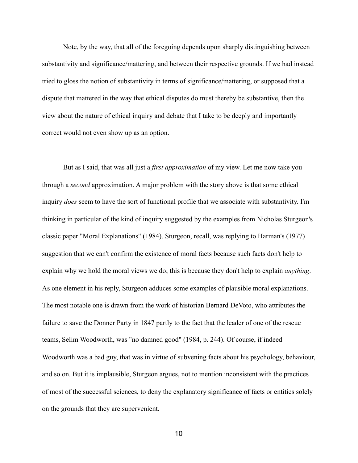Note, by the way, that all of the foregoing depends upon sharply distinguishing between substantivity and significance/mattering, and between their respective grounds. If we had instead tried to gloss the notion of substantivity in terms of significance/mattering, or supposed that a dispute that mattered in the way that ethical disputes do must thereby be substantive, then the view about the nature of ethical inquiry and debate that I take to be deeply and importantly correct would not even show up as an option.

 But as I said, that was all just a *first approximation* of my view. Let me now take you through a *second* approximation. A major problem with the story above is that some ethical inquiry *does* seem to have the sort of functional profile that we associate with substantivity. I'm thinking in particular of the kind of inquiry suggested by the examples from Nicholas Sturgeon's classic paper "Moral Explanations" (1984). Sturgeon, recall, was replying to Harman's (1977) suggestion that we can't confirm the existence of moral facts because such facts don't help to explain why we hold the moral views we do; this is because they don't help to explain *anything*. As one element in his reply, Sturgeon adduces some examples of plausible moral explanations. The most notable one is drawn from the work of historian Bernard DeVoto, who attributes the failure to save the Donner Party in 1847 partly to the fact that the leader of one of the rescue teams, Selim Woodworth, was "no damned good" (1984, p. 244). Of course, if indeed Woodworth was a bad guy, that was in virtue of subvening facts about his psychology, behaviour, and so on. But it is implausible, Sturgeon argues, not to mention inconsistent with the practices of most of the successful sciences, to deny the explanatory significance of facts or entities solely on the grounds that they are supervenient.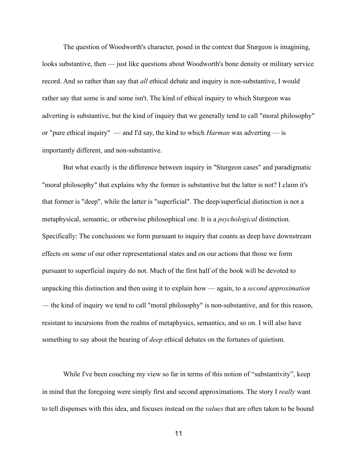The question of Woodworth's character, posed in the context that Sturgeon is imagining, looks substantive, then — just like questions about Woodworth's bone density or military service record. And so rather than say that *all* ethical debate and inquiry is non-substantive, I would rather say that some is and some isn't. The kind of ethical inquiry to which Sturgeon was adverting is substantive, but the kind of inquiry that we generally tend to call "moral philosophy" or "pure ethical inquiry" — and I'd say, the kind to which *Harman* was adverting — is importantly different, and non-substantive.

 But what exactly is the difference between inquiry in "Sturgeon cases" and paradigmatic "moral philosophy" that explains why the former is substantive but the latter is not? I claim it's that former is "deep", while the latter is "superficial". The deep/superficial distinction is not a metaphysical, semantic, or otherwise philosophical one. It is a *psychological* distinction. Specifically: The conclusions we form pursuant to inquiry that counts as deep have downstream effects on some of our other representational states and on our actions that those we form pursuant to superficial inquiry do not. Much of the first half of the book will be devoted to unpacking this distinction and then using it to explain how — again, to a *second approximation* — the kind of inquiry we tend to call "moral philosophy" is non-substantive, and for this reason, resistant to incursions from the realms of metaphysics, semantics, and so on. I will also have something to say about the bearing of *deep* ethical debates on the fortunes of quietism.

 While I've been couching my view so far in terms of this notion of "substantivity", keep in mind that the foregoing were simply first and second approximations. The story I *really* want to tell dispenses with this idea, and focuses instead on the *values* that are often taken to be bound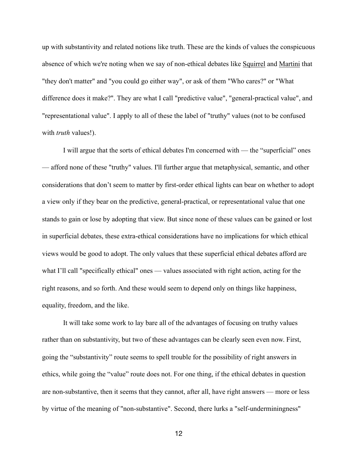up with substantivity and related notions like truth. These are the kinds of values the conspicuous absence of which we're noting when we say of non-ethical debates like Squirrel and Martini that "they don't matter" and "you could go either way", or ask of them "Who cares?" or "What difference does it make?". They are what I call "predictive value", "general-practical value", and "representational value". I apply to all of these the label of "truthy" values (not to be confused with *truth* values!).

 I will argue that the sorts of ethical debates I'm concerned with — the "superficial" ones — afford none of these "truthy" values. I'll further argue that metaphysical, semantic, and other considerations that don't seem to matter by first-order ethical lights can bear on whether to adopt a view only if they bear on the predictive, general-practical, or representational value that one stands to gain or lose by adopting that view. But since none of these values can be gained or lost in superficial debates, these extra-ethical considerations have no implications for which ethical views would be good to adopt. The only values that these superficial ethical debates afford are what I'll call "specifically ethical" ones — values associated with right action, acting for the right reasons, and so forth. And these would seem to depend only on things like happiness, equality, freedom, and the like.

 It will take some work to lay bare all of the advantages of focusing on truthy values rather than on substantivity, but two of these advantages can be clearly seen even now. First, going the "substantivity" route seems to spell trouble for the possibility of right answers in ethics, while going the "value" route does not. For one thing, if the ethical debates in question are non-substantive, then it seems that they cannot, after all, have right answers — more or less by virtue of the meaning of "non-substantive". Second, there lurks a "self-underminingness"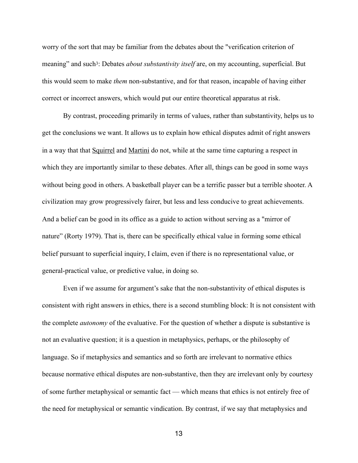<span id="page-12-0"></span>worry of the sort that may be familiar from the debates about the "verification criterion of meaning" and such[3:](#page-22-2) Debates *about substantivity itself* are, on my accounting, superficial. But this would seem to make *them* non-substantive, and for that reason, incapable of having either correct or incorrect answers, which would put our entire theoretical apparatus at risk.

 By contrast, proceeding primarily in terms of values, rather than substantivity, helps us to get the conclusions we want. It allows us to explain how ethical disputes admit of right answers in a way that that Squirrel and Martini do not, while at the same time capturing a respect in which they are importantly similar to these debates. After all, things can be good in some ways without being good in others. A basketball player can be a terrific passer but a terrible shooter. A civilization may grow progressively fairer, but less and less conducive to great achievements. And a belief can be good in its office as a guide to action without serving as a "mirror of nature" (Rorty 1979). That is, there can be specifically ethical value in forming some ethical belief pursuant to superficial inquiry, I claim, even if there is no representational value, or general-practical value, or predictive value, in doing so.

 Even if we assume for argument's sake that the non-substantivity of ethical disputes is consistent with right answers in ethics, there is a second stumbling block: It is not consistent with the complete *autonomy* of the evaluative. For the question of whether a dispute is substantive is not an evaluative question; it is a question in metaphysics, perhaps, or the philosophy of language. So if metaphysics and semantics and so forth are irrelevant to normative ethics because normative ethical disputes are non-substantive, then they are irrelevant only by courtesy of some further metaphysical or semantic fact — which means that ethics is not entirely free of the need for metaphysical or semantic vindication. By contrast, if we say that metaphysics and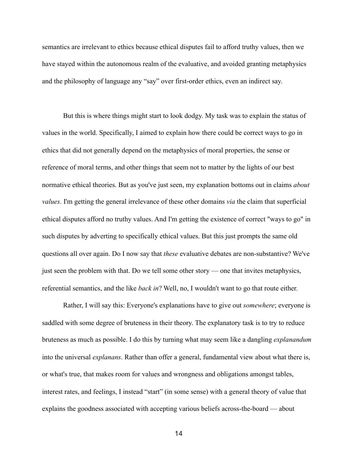semantics are irrelevant to ethics because ethical disputes fail to afford truthy values, then we have stayed within the autonomous realm of the evaluative, and avoided granting metaphysics and the philosophy of language any "say" over first-order ethics, even an indirect say.

 But this is where things might start to look dodgy. My task was to explain the status of values in the world. Specifically, I aimed to explain how there could be correct ways to go in ethics that did not generally depend on the metaphysics of moral properties, the sense or reference of moral terms, and other things that seem not to matter by the lights of our best normative ethical theories. But as you've just seen, my explanation bottoms out in claims *about values*. I'm getting the general irrelevance of these other domains *via* the claim that superficial ethical disputes afford no truthy values. And I'm getting the existence of correct "ways to go" in such disputes by adverting to specifically ethical values. But this just prompts the same old questions all over again. Do I now say that *these* evaluative debates are non-substantive? We've just seen the problem with that. Do we tell some other story — one that invites metaphysics, referential semantics, and the like *back in*? Well, no, I wouldn't want to go that route either.

 Rather, I will say this: Everyone's explanations have to give out *somewhere*; everyone is saddled with some degree of bruteness in their theory. The explanatory task is to try to reduce bruteness as much as possible. I do this by turning what may seem like a dangling *explanandum* into the universal *explanans*. Rather than offer a general, fundamental view about what there is, or what's true, that makes room for values and wrongness and obligations amongst tables, interest rates, and feelings, I instead "start" (in some sense) with a general theory of value that explains the goodness associated with accepting various beliefs across-the-board — about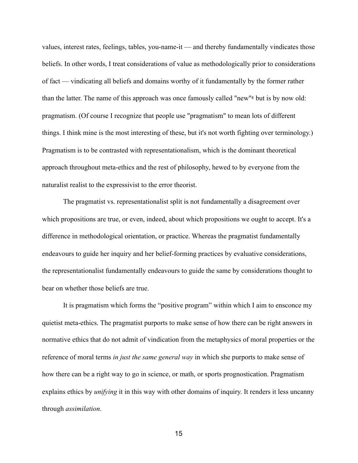<span id="page-14-0"></span>values, interest rates, feelings, tables, you-name-it — and thereby fundamentally vindicates those beliefs. In other words, I treat considerations of value as methodologically prior to considerations of fact — vindicating all beliefs and domains worthy of it fundamentally by the former rather than the latter. The name of this approach was once famously called "new["4](#page-22-3) but is by now old: pragmatism. (Of course I recognize that people use "pragmatism" to mean lots of different things. I think mine is the most interesting of these, but it's not worth fighting over terminology.) Pragmatism is to be contrasted with representationalism, which is the dominant theoretical approach throughout meta-ethics and the rest of philosophy, hewed to by everyone from the naturalist realist to the expressivist to the error theorist.

 The pragmatist vs. representationalist split is not fundamentally a disagreement over which propositions are true, or even, indeed, about which propositions we ought to accept. It's a difference in methodological orientation, or practice. Whereas the pragmatist fundamentally endeavours to guide her inquiry and her belief-forming practices by evaluative considerations, the representationalist fundamentally endeavours to guide the same by considerations thought to bear on whether those beliefs are true.

 It is pragmatism which forms the "positive program" within which I aim to ensconce my quietist meta-ethics. The pragmatist purports to make sense of how there can be right answers in normative ethics that do not admit of vindication from the metaphysics of moral properties or the reference of moral terms *in just the same general way* in which she purports to make sense of how there can be a right way to go in science, or math, or sports prognostication. Pragmatism explains ethics by *unifying* it in this way with other domains of inquiry. It renders it less uncanny through *assimilation*.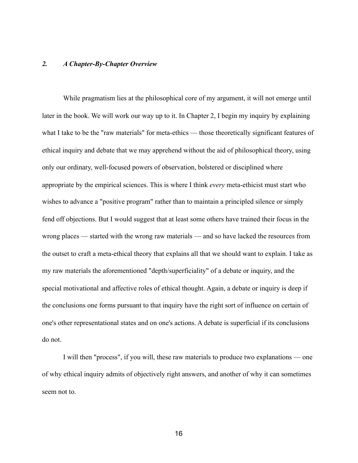## *2. A Chapter-By-Chapter Overview*

 While pragmatism lies at the philosophical core of my argument, it will not emerge until later in the book. We will work our way up to it. In Chapter 2, I begin my inquiry by explaining what I take to be the "raw materials" for meta-ethics — those theoretically significant features of ethical inquiry and debate that we may apprehend without the aid of philosophical theory, using only our ordinary, well-focused powers of observation, bolstered or disciplined where appropriate by the empirical sciences. This is where I think *every* meta-ethicist must start who wishes to advance a "positive program" rather than to maintain a principled silence or simply fend off objections. But I would suggest that at least some others have trained their focus in the wrong places — started with the wrong raw materials — and so have lacked the resources from the outset to craft a meta-ethical theory that explains all that we should want to explain. I take as my raw materials the aforementioned "depth/superficiality" of a debate or inquiry, and the special motivational and affective roles of ethical thought. Again, a debate or inquiry is deep if the conclusions one forms pursuant to that inquiry have the right sort of influence on certain of one's other representational states and on one's actions. A debate is superficial if its conclusions do not.

 I will then "process", if you will, these raw materials to produce two explanations — one of why ethical inquiry admits of objectively right answers, and another of why it can sometimes seem not to.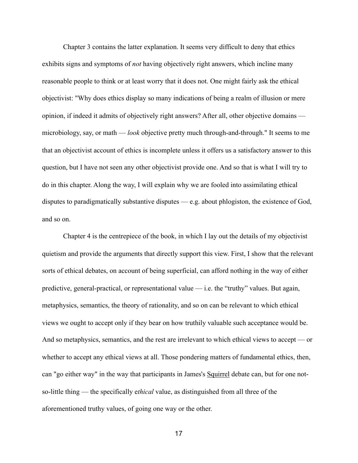Chapter 3 contains the latter explanation. It seems very difficult to deny that ethics exhibits signs and symptoms of *not* having objectively right answers, which incline many reasonable people to think or at least worry that it does not. One might fairly ask the ethical objectivist: "Why does ethics display so many indications of being a realm of illusion or mere opinion, if indeed it admits of objectively right answers? After all, other objective domains microbiology, say, or math — *look* objective pretty much through-and-through." It seems to me that an objectivist account of ethics is incomplete unless it offers us a satisfactory answer to this question, but I have not seen any other objectivist provide one. And so that is what I will try to do in this chapter. Along the way, I will explain why we are fooled into assimilating ethical disputes to paradigmatically substantive disputes — e.g. about phlogiston, the existence of God, and so on.

 Chapter 4 is the centrepiece of the book, in which I lay out the details of my objectivist quietism and provide the arguments that directly support this view. First, I show that the relevant sorts of ethical debates, on account of being superficial, can afford nothing in the way of either predictive, general-practical, or representational value — i.e. the "truthy" values. But again, metaphysics, semantics, the theory of rationality, and so on can be relevant to which ethical views we ought to accept only if they bear on how truthily valuable such acceptance would be. And so metaphysics, semantics, and the rest are irrelevant to which ethical views to accept — or whether to accept any ethical views at all. Those pondering matters of fundamental ethics, then, can "go either way" in the way that participants in James's Squirrel debate can, but for one notso-little thing — the specifically e*thical* value, as distinguished from all three of the aforementioned truthy values, of going one way or the other.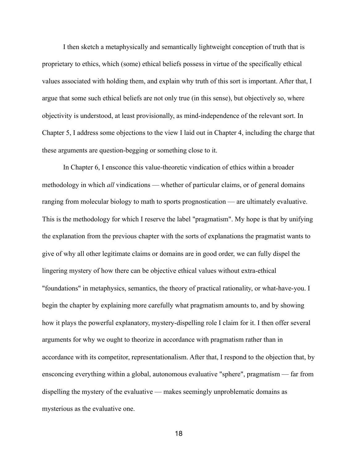I then sketch a metaphysically and semantically lightweight conception of truth that is proprietary to ethics, which (some) ethical beliefs possess in virtue of the specifically ethical values associated with holding them, and explain why truth of this sort is important. After that, I argue that some such ethical beliefs are not only true (in this sense), but objectively so, where objectivity is understood, at least provisionally, as mind-independence of the relevant sort. In Chapter 5, I address some objections to the view I laid out in Chapter 4, including the charge that these arguments are question-begging or something close to it.

 In Chapter 6, I ensconce this value-theoretic vindication of ethics within a broader methodology in which *all* vindications — whether of particular claims, or of general domains ranging from molecular biology to math to sports prognostication — are ultimately evaluative. This is the methodology for which I reserve the label "pragmatism". My hope is that by unifying the explanation from the previous chapter with the sorts of explanations the pragmatist wants to give of why all other legitimate claims or domains are in good order, we can fully dispel the lingering mystery of how there can be objective ethical values without extra-ethical "foundations" in metaphysics, semantics, the theory of practical rationality, or what-have-you. I begin the chapter by explaining more carefully what pragmatism amounts to, and by showing how it plays the powerful explanatory, mystery-dispelling role I claim for it. I then offer several arguments for why we ought to theorize in accordance with pragmatism rather than in accordance with its competitor, representationalism. After that, I respond to the objection that, by ensconcing everything within a global, autonomous evaluative "sphere", pragmatism — far from dispelling the mystery of the evaluative — makes seemingly unproblematic domains as mysterious as the evaluative one.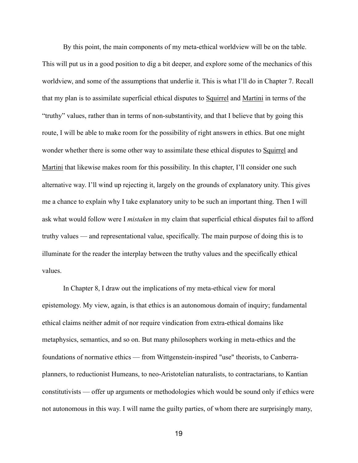By this point, the main components of my meta-ethical worldview will be on the table. This will put us in a good position to dig a bit deeper, and explore some of the mechanics of this worldview, and some of the assumptions that underlie it. This is what I'll do in Chapter 7. Recall that my plan is to assimilate superficial ethical disputes to Squirrel and Martini in terms of the "truthy" values, rather than in terms of non-substantivity, and that I believe that by going this route, I will be able to make room for the possibility of right answers in ethics. But one might wonder whether there is some other way to assimilate these ethical disputes to Squirrel and Martini that likewise makes room for this possibility. In this chapter, I'll consider one such alternative way. I'll wind up rejecting it, largely on the grounds of explanatory unity. This gives me a chance to explain why I take explanatory unity to be such an important thing. Then I will ask what would follow were I *mistaken* in my claim that superficial ethical disputes fail to afford truthy values — and representational value, specifically. The main purpose of doing this is to illuminate for the reader the interplay between the truthy values and the specifically ethical values.

 In Chapter 8, I draw out the implications of my meta-ethical view for moral epistemology. My view, again, is that ethics is an autonomous domain of inquiry; fundamental ethical claims neither admit of nor require vindication from extra-ethical domains like metaphysics, semantics, and so on. But many philosophers working in meta-ethics and the foundations of normative ethics — from Wittgenstein-inspired "use" theorists, to Canberraplanners, to reductionist Humeans, to neo-Aristotelian naturalists, to contractarians, to Kantian constitutivists — offer up arguments or methodologies which would be sound only if ethics were not autonomous in this way. I will name the guilty parties, of whom there are surprisingly many,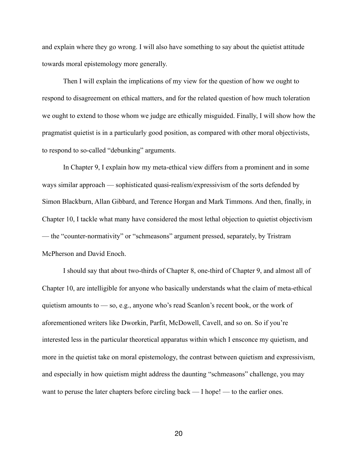and explain where they go wrong. I will also have something to say about the quietist attitude towards moral epistemology more generally.

 Then I will explain the implications of my view for the question of how we ought to respond to disagreement on ethical matters, and for the related question of how much toleration we ought to extend to those whom we judge are ethically misguided. Finally, I will show how the pragmatist quietist is in a particularly good position, as compared with other moral objectivists, to respond to so-called "debunking" arguments.

 In Chapter 9, I explain how my meta-ethical view differs from a prominent and in some ways similar approach — sophisticated quasi-realism/expressivism of the sorts defended by Simon Blackburn, Allan Gibbard, and Terence Horgan and Mark Timmons. And then, finally, in Chapter 10, I tackle what many have considered the most lethal objection to quietist objectivism — the "counter-normativity" or "schmeasons" argument pressed, separately, by Tristram McPherson and David Enoch.

 I should say that about two-thirds of Chapter 8, one-third of Chapter 9, and almost all of Chapter 10, are intelligible for anyone who basically understands what the claim of meta-ethical quietism amounts to — so, e.g., anyone who's read Scanlon's recent book, or the work of aforementioned writers like Dworkin, Parfit, McDowell, Cavell, and so on. So if you're interested less in the particular theoretical apparatus within which I ensconce my quietism, and more in the quietist take on moral epistemology, the contrast between quietism and expressivism, and especially in how quietism might address the daunting "schmeasons" challenge, you may want to peruse the later chapters before circling back — I hope! — to the earlier ones.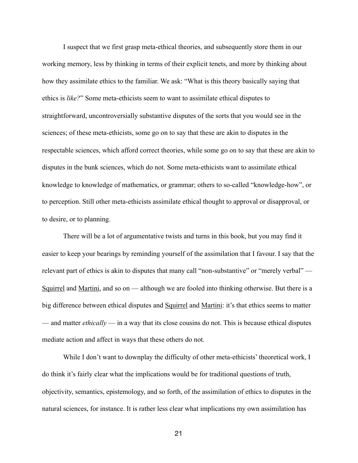I suspect that we first grasp meta-ethical theories, and subsequently store them in our working memory, less by thinking in terms of their explicit tenets, and more by thinking about how they assimilate ethics to the familiar. We ask: "What is this theory basically saying that ethics is *like?*" Some meta-ethicists seem to want to assimilate ethical disputes to straightforward, uncontroversially substantive disputes of the sorts that you would see in the sciences; of these meta-ethicists, some go on to say that these are akin to disputes in the respectable sciences, which afford correct theories, while some go on to say that these are akin to disputes in the bunk sciences, which do not. Some meta-ethicists want to assimilate ethical knowledge to knowledge of mathematics, or grammar; others to so-called "knowledge-how", or to perception. Still other meta-ethicists assimilate ethical thought to approval or disapproval, or to desire, or to planning.

 There will be a lot of argumentative twists and turns in this book, but you may find it easier to keep your bearings by reminding yourself of the assimilation that I favour. I say that the relevant part of ethics is akin to disputes that many call "non-substantive" or "merely verbal" — Squirrel and Martini, and so on — although we are fooled into thinking otherwise. But there is a big difference between ethical disputes and Squirrel and Martini: it's that ethics seems to matter — and matter *ethically* — in a way that its close cousins do not. This is because ethical disputes mediate action and affect in ways that these others do not.

 While I don't want to downplay the difficulty of other meta-ethicists' theoretical work, I do think it's fairly clear what the implications would be for traditional questions of truth, objectivity, semantics, epistemology, and so forth, of the assimilation of ethics to disputes in the natural sciences, for instance. It is rather less clear what implications my own assimilation has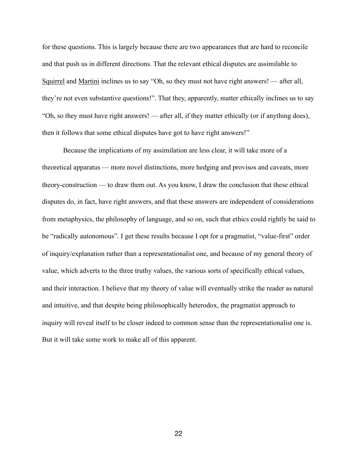for these questions. This is largely because there are two appearances that are hard to reconcile and that push us in different directions. That the relevant ethical disputes are assimilable to Squirrel and Martini inclines us to say "Oh, so they must not have right answers! — after all, they're not even substantive questions!". That they, apparently, matter ethically inclines us to say "Oh, so they must have right answers! — after all, if they matter ethically (or if anything does), then it follows that some ethical disputes have got to have right answers!"

 Because the implications of my assimilation are less clear, it will take more of a theoretical apparatus — more novel distinctions, more hedging and provisos and caveats, more theory-construction — to draw them out. As you know, I draw the conclusion that these ethical disputes do, in fact, have right answers, and that these answers are independent of considerations from metaphysics, the philosophy of language, and so on, such that ethics could rightly be said to be "radically autonomous". I get these results because I opt for a pragmatist, "value-first" order of inquiry/explanation rather than a representationalist one, and because of my general theory of value, which adverts to the three truthy values, the various sorts of specifically ethical values, and their interaction. I believe that my theory of value will eventually strike the reader as natural and intuitive, and that despite being philosophically heterodox, the pragmatist approach to inquiry will reveal itself to be closer indeed to common sense than the representationalist one is. But it will take some work to make all of this apparent.